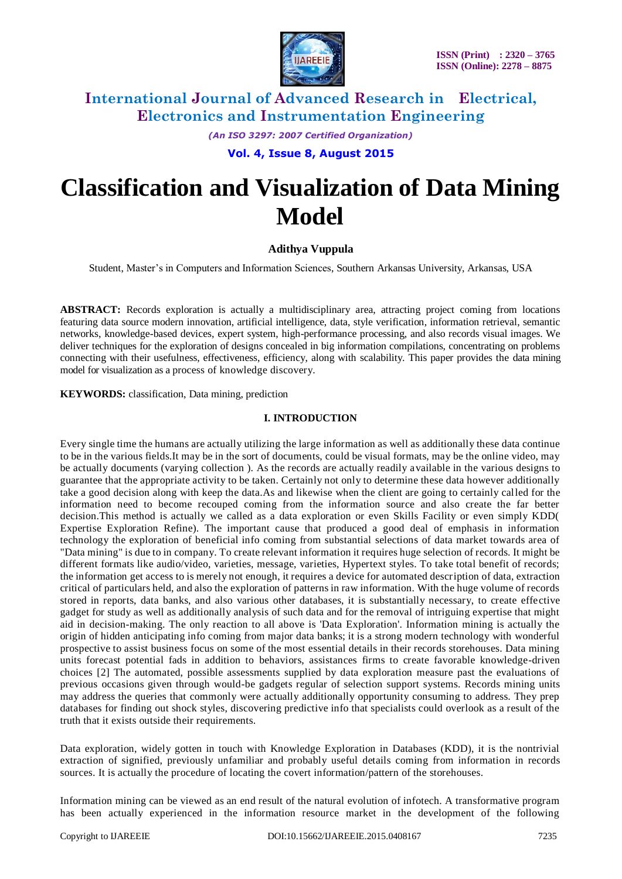

*(An ISO 3297: 2007 Certified Organization)*

**Vol. 4, Issue 8, August 2015**

# **Classification and Visualization of Data Mining Model**

### **Adithya Vuppula**

Student, Master's in Computers and Information Sciences, Southern Arkansas University, Arkansas, USA

**ABSTRACT:** Records exploration is actually a multidisciplinary area, attracting project coming from locations featuring data source modern innovation, artificial intelligence, data, style verification, information retrieval, semantic networks, knowledge-based devices, expert system, high-performance processing, and also records visual images. We deliver techniques for the exploration of designs concealed in big information compilations, concentrating on problems connecting with their usefulness, effectiveness, efficiency, along with scalability. This paper provides the data mining model for visualization as a process of knowledge discovery.

**KEYWORDS:** classification, Data mining, prediction

#### **I. INTRODUCTION**

Every single time the humans are actually utilizing the large information as well as additionally these data continue to be in the various fields.It may be in the sort of documents, could be visual formats, may be the online video, may be actually documents (varying collection ). As the records are actually readily available in the various designs to guarantee that the appropriate activity to be taken. Certainly not only to determine these data however additionally take a good decision along with keep the data.As and likewise when the client are going to certainly called for the information need to become recouped coming from the information source and also create the far better decision.This method is actually we called as a data exploration or even Skills Facility or even simply KDD( Expertise Exploration Refine). The important cause that produced a good deal of emphasis in information technology the exploration of beneficial info coming from substantial selections of data market towards area of "Data mining" is due to in company. To create relevant information it requires huge selection of records. It might be different formats like audio/video, varieties, message, varieties, Hypertext styles. To take total benefit of records; the information get access to is merely not enough, it requires a device for automated description of data, extraction critical of particulars held, and also the exploration of patterns in raw information. With the huge volume of records stored in reports, data banks, and also various other databases, it is substantially necessary, to create effective gadget for study as well as additionally analysis of such data and for the removal of intriguing expertise that might aid in decision-making. The only reaction to all above is 'Data Exploration'. Information mining is actually the origin of hidden anticipating info coming from major data banks; it is a strong modern technology with wonderful prospective to assist business focus on some of the most essential details in their records storehouses. Data mining units forecast potential fads in addition to behaviors, assistances firms to create favorable knowledge-driven choices [2] The automated, possible assessments supplied by data exploration measure past the evaluations of previous occasions given through would-be gadgets regular of selection support systems. Records mining units may address the queries that commonly were actually additionally opportunity consuming to address. They prep databases for finding out shock styles, discovering predictive info that specialists could overlook as a result of the truth that it exists outside their requirements.

Data exploration, widely gotten in touch with Knowledge Exploration in Databases (KDD), it is the nontrivial extraction of signified, previously unfamiliar and probably useful details coming from information in records sources. It is actually the procedure of locating the covert information/pattern of the storehouses.

Information mining can be viewed as an end result of the natural evolution of infotech. A transformative program has been actually experienced in the information resource market in the development of the following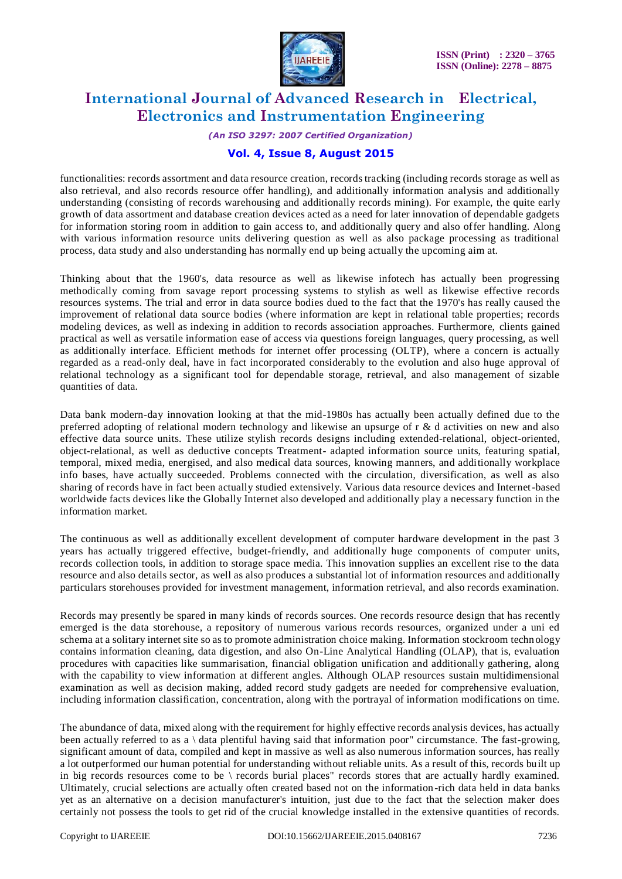

#### *(An ISO 3297: 2007 Certified Organization)*

### **Vol. 4, Issue 8, August 2015**

functionalities: records assortment and data resource creation, records tracking (including records storage as well as also retrieval, and also records resource offer handling), and additionally information analysis and additionally understanding (consisting of records warehousing and additionally records mining). For example, the quite early growth of data assortment and database creation devices acted as a need for later innovation of dependable gadgets for information storing room in addition to gain access to, and additionally query and also offer handling. Along with various information resource units delivering question as well as also package processing as traditional process, data study and also understanding has normally end up being actually the upcoming aim at.

Thinking about that the 1960's, data resource as well as likewise infotech has actually been progressing methodically coming from savage report processing systems to stylish as well as likewise effective records resources systems. The trial and error in data source bodies dued to the fact that the 1970's has really caused the improvement of relational data source bodies (where information are kept in relational table properties; records modeling devices, as well as indexing in addition to records association approaches. Furthermore, clients gained practical as well as versatile information ease of access via questions foreign languages, query processing, as well as additionally interface. Efficient methods for internet offer processing (OLTP), where a concern is actually regarded as a read-only deal, have in fact incorporated considerably to the evolution and also huge approval of relational technology as a significant tool for dependable storage, retrieval, and also management of sizable quantities of data.

Data bank modern-day innovation looking at that the mid-1980s has actually been actually defined due to the preferred adopting of relational modern technology and likewise an upsurge of r & d activities on new and also effective data source units. These utilize stylish records designs including extended-relational, object-oriented, object-relational, as well as deductive concepts Treatment- adapted information source units, featuring spatial, temporal, mixed media, energised, and also medical data sources, knowing manners, and additionally workplace info bases, have actually succeeded. Problems connected with the circulation, diversification, as well as also sharing of records have in fact been actually studied extensively. Various data resource devices and Internet-based worldwide facts devices like the Globally Internet also developed and additionally play a necessary function in the information market.

The continuous as well as additionally excellent development of computer hardware development in the past 3 years has actually triggered effective, budget-friendly, and additionally huge components of computer units, records collection tools, in addition to storage space media. This innovation supplies an excellent rise to the data resource and also details sector, as well as also produces a substantial lot of information resources and additionally particulars storehouses provided for investment management, information retrieval, and also records examination.

Records may presently be spared in many kinds of records sources. One records resource design that has recently emerged is the data storehouse, a repository of numerous various records resources, organized under a uni ed schema at a solitary internet site so as to promote administration choice making. Information stockroom technology contains information cleaning, data digestion, and also On-Line Analytical Handling (OLAP), that is, evaluation procedures with capacities like summarisation, financial obligation unification and additionally gathering, along with the capability to view information at different angles. Although OLAP resources sustain multidimensional examination as well as decision making, added record study gadgets are needed for comprehensive evaluation, including information classification, concentration, along with the portrayal of information modifications on time.

The abundance of data, mixed along with the requirement for highly effective records analysis devices, has actually been actually referred to as a \ data plentiful having said that information poor" circumstance. The fast-growing, significant amount of data, compiled and kept in massive as well as also numerous information sources, has really a lot outperformed our human potential for understanding without reliable units. As a result of this, records built up in big records resources come to be \ records burial places" records stores that are actually hardly examined. Ultimately, crucial selections are actually often created based not on the information-rich data held in data banks yet as an alternative on a decision manufacturer's intuition, just due to the fact that the selection maker does certainly not possess the tools to get rid of the crucial knowledge installed in the extensive quantities of records.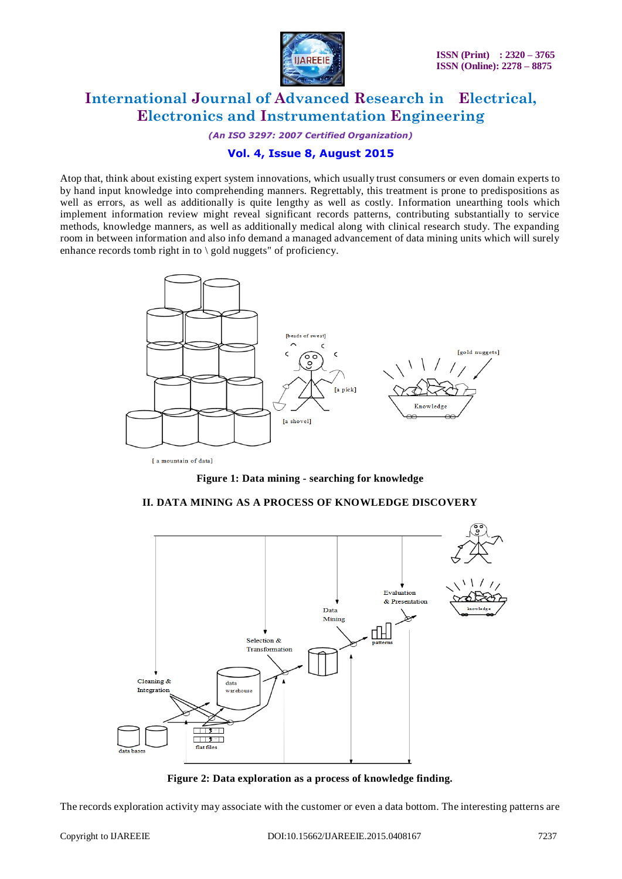

*(An ISO 3297: 2007 Certified Organization)*

### **Vol. 4, Issue 8, August 2015**

Atop that, think about existing expert system innovations, which usually trust consumers or even domain experts to by hand input knowledge into comprehending manners. Regrettably, this treatment is prone to predispositions as well as errors, as well as additionally is quite lengthy as well as costly. Information unearthing tools which implement information review might reveal significant records patterns, contributing substantially to service methods, knowledge manners, as well as additionally medical along with clinical research study. The expanding room in between information and also info demand a managed advancement of data mining units which will surely enhance records tomb right in to \ gold nuggets" of proficiency.



**Figure 1: Data mining - searching for knowledge**





**Figure 2: Data exploration as a process of knowledge finding.**

The records exploration activity may associate with the customer or even a data bottom. The interesting patterns are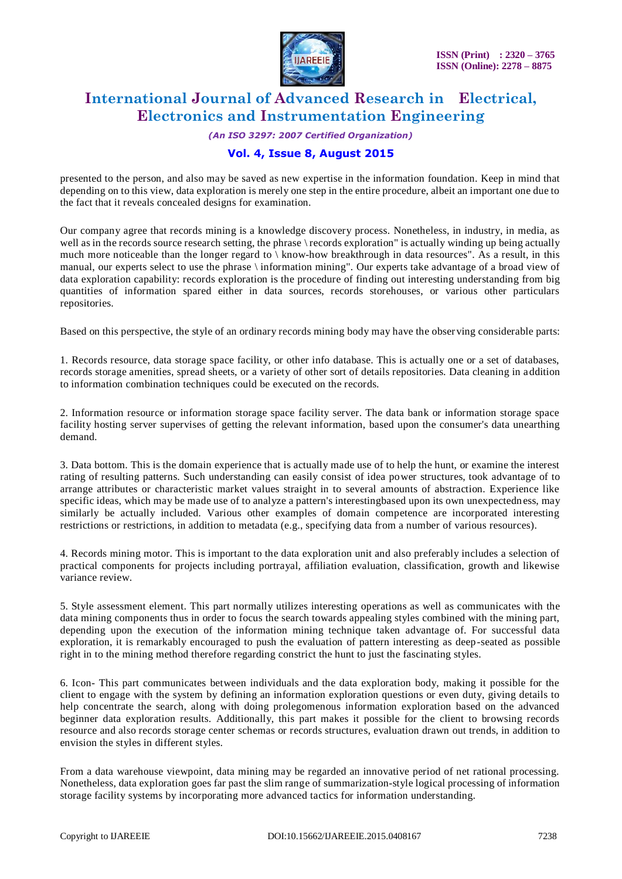

*(An ISO 3297: 2007 Certified Organization)*

### **Vol. 4, Issue 8, August 2015**

presented to the person, and also may be saved as new expertise in the information foundation. Keep in mind that depending on to this view, data exploration is merely one step in the entire procedure, albeit an important one due to the fact that it reveals concealed designs for examination.

Our company agree that records mining is a knowledge discovery process. Nonetheless, in industry, in media, as well as in the records source research setting, the phrase \ records exploration" is actually winding up being actually much more noticeable than the longer regard to \ know-how breakthrough in data resources". As a result, in this manual, our experts select to use the phrase \ information mining". Our experts take advantage of a broad view of data exploration capability: records exploration is the procedure of finding out interesting understanding from big quantities of information spared either in data sources, records storehouses, or various other particulars repositories.

Based on this perspective, the style of an ordinary records mining body may have the observing considerable parts:

1. Records resource, data storage space facility, or other info database. This is actually one or a set of databases, records storage amenities, spread sheets, or a variety of other sort of details repositories. Data cleaning in addition to information combination techniques could be executed on the records.

2. Information resource or information storage space facility server. The data bank or information storage space facility hosting server supervises of getting the relevant information, based upon the consumer's data unearthing demand.

3. Data bottom. This is the domain experience that is actually made use of to help the hunt, or examine the interest rating of resulting patterns. Such understanding can easily consist of idea power structures, took advantage of to arrange attributes or characteristic market values straight in to several amounts of abstraction. Experience like specific ideas, which may be made use of to analyze a pattern's interestingbased upon its own unexpectedness, may similarly be actually included. Various other examples of domain competence are incorporated interesting restrictions or restrictions, in addition to metadata (e.g., specifying data from a number of various resources).

4. Records mining motor. This is important to the data exploration unit and also preferably includes a selection of practical components for projects including portrayal, affiliation evaluation, classification, growth and likewise variance review.

5. Style assessment element. This part normally utilizes interesting operations as well as communicates with the data mining components thus in order to focus the search towards appealing styles combined with the mining part, depending upon the execution of the information mining technique taken advantage of. For successful data exploration, it is remarkably encouraged to push the evaluation of pattern interesting as deep-seated as possible right in to the mining method therefore regarding constrict the hunt to just the fascinating styles.

6. Icon- This part communicates between individuals and the data exploration body, making it possible for the client to engage with the system by defining an information exploration questions or even duty, giving details to help concentrate the search, along with doing prolegomenous information exploration based on the advanced beginner data exploration results. Additionally, this part makes it possible for the client to browsing records resource and also records storage center schemas or records structures, evaluation drawn out trends, in addition to envision the styles in different styles.

From a data warehouse viewpoint, data mining may be regarded an innovative period of net rational processing. Nonetheless, data exploration goes far past the slim range of summarization-style logical processing of information storage facility systems by incorporating more advanced tactics for information understanding.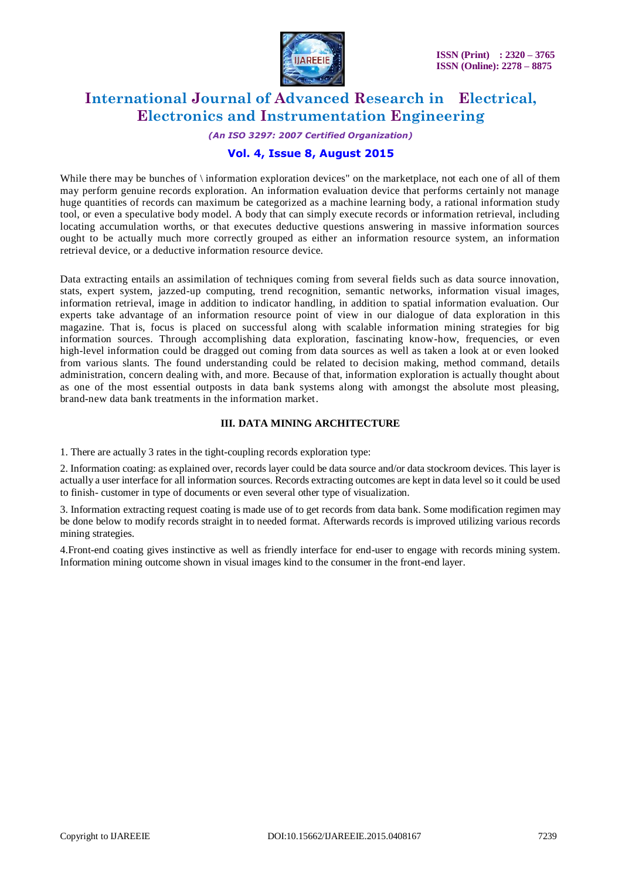

*(An ISO 3297: 2007 Certified Organization)*

### **Vol. 4, Issue 8, August 2015**

While there may be bunches of \ information exploration devices" on the marketplace, not each one of all of them may perform genuine records exploration. An information evaluation device that performs certainly not manage huge quantities of records can maximum be categorized as a machine learning body, a rational information study tool, or even a speculative body model. A body that can simply execute records or information retrieval, including locating accumulation worths, or that executes deductive questions answering in massive information sources ought to be actually much more correctly grouped as either an information resource system, an information retrieval device, or a deductive information resource device.

Data extracting entails an assimilation of techniques coming from several fields such as data source innovation, stats, expert system, jazzed-up computing, trend recognition, semantic networks, information visual images, information retrieval, image in addition to indicator handling, in addition to spatial information evaluation. Our experts take advantage of an information resource point of view in our dialogue of data exploration in this magazine. That is, focus is placed on successful along with scalable information mining strategies for big information sources. Through accomplishing data exploration, fascinating know-how, frequencies, or even high-level information could be dragged out coming from data sources as well as taken a look at or even looked from various slants. The found understanding could be related to decision making, method command, details administration, concern dealing with, and more. Because of that, information exploration is actually thought about as one of the most essential outposts in data bank systems along with amongst the absolute most pleasing, brand-new data bank treatments in the information market.

#### **III. DATA MINING ARCHITECTURE**

1. There are actually 3 rates in the tight-coupling records exploration type:

2. Information coating: as explained over, records layer could be data source and/or data stockroom devices. This layer is actually a user interface for all information sources. Records extracting outcomes are kept in data level so it could be used to finish- customer in type of documents or even several other type of visualization.

3. Information extracting request coating is made use of to get records from data bank. Some modification regimen may be done below to modify records straight in to needed format. Afterwards records is improved utilizing various records mining strategies.

4.Front-end coating gives instinctive as well as friendly interface for end-user to engage with records mining system. Information mining outcome shown in visual images kind to the consumer in the front-end layer.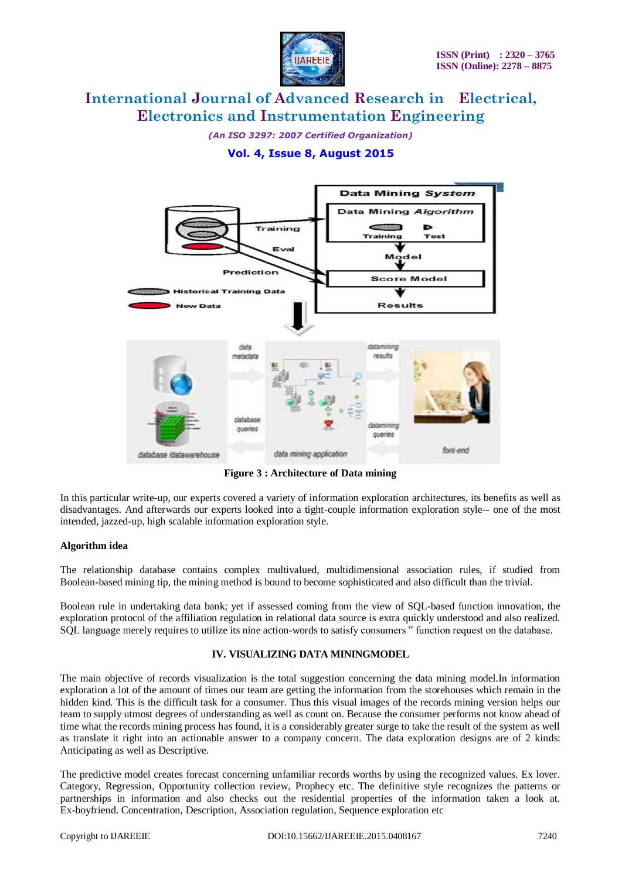

*(An ISO 3297: 2007 Certified Organization)*

### **Vol. 4, Issue 8, August 2015**



**Figure 3 : Architecture of Data mining**

In this particular write-up, our experts covered a variety of information exploration architectures, its benefits as well as disadvantages. And afterwards our experts looked into a tight-couple information exploration style-- one of the most intended, jazzed-up, high scalable information exploration style.

#### **Algorithm idea**

The relationship database contains complex multivalued, multidimensional association rules, if studied from Boolean-based mining tip, the mining method is bound to become sophisticated and also difficult than the trivial.

Boolean rule in undertaking data bank; yet if assessed coming from the view of SQL-based function innovation, the exploration protocol of the affiliation regulation in relational data source is extra quickly understood and also realized. SQL language merely requires to utilize its nine action-words to satisfy consumers " function request on the database.

#### **IV. VISUALIZING DATA MININGMODEL**

The main objective of records visualization is the total suggestion concerning the data mining model.In information exploration a lot of the amount of times our team are getting the information from the storehouses which remain in the hidden kind. This is the difficult task for a consumer. Thus this visual images of the records mining version helps our team to supply utmost degrees of understanding as well as count on. Because the consumer performs not know ahead of time what the records mining process has found, it is a considerably greater surge to take the result of the system as well as translate it right into an actionable answer to a company concern. The data exploration designs are of 2 kinds: Anticipating as well as Descriptive.

The predictive model creates forecast concerning unfamiliar records worths by using the recognized values. Ex lover. Category, Regression, Opportunity collection review, Prophecy etc. The definitive style recognizes the patterns or partnerships in information and also checks out the residential properties of the information taken a look at. Ex-boyfriend. Concentration, Description, Association regulation, Sequence exploration etc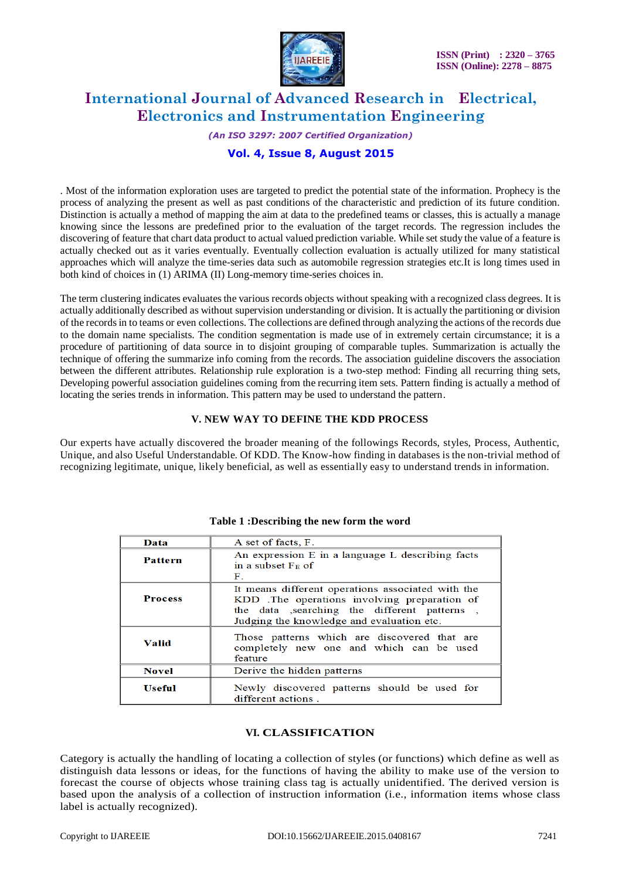

#### *(An ISO 3297: 2007 Certified Organization)*

### **Vol. 4, Issue 8, August 2015**

. Most of the information exploration uses are targeted to predict the potential state of the information. Prophecy is the process of analyzing the present as well as past conditions of the characteristic and prediction of its future condition. Distinction is actually a method of mapping the aim at data to the predefined teams or classes, this is actually a manage knowing since the lessons are predefined prior to the evaluation of the target records. The regression includes the discovering of feature that chart data product to actual valued prediction variable. While set study the value of a feature is actually checked out as it varies eventually. Eventually collection evaluation is actually utilized for many statistical approaches which will analyze the time-series data such as automobile regression strategies etc.It is long times used in both kind of choices in (1) ARIMA (II) Long-memory time-series choices in.

The term clustering indicates evaluates the various records objects without speaking with a recognized class degrees. It is actually additionally described as without supervision understanding or division. It is actually the partitioning or division of the records in to teams or even collections. The collections are defined through analyzing the actions of the records due to the domain name specialists. The condition segmentation is made use of in extremely certain circumstance; it is a procedure of partitioning of data source in to disjoint grouping of comparable tuples. Summarization is actually the technique of offering the summarize info coming from the records. The association guideline discovers the association between the different attributes. Relationship rule exploration is a two-step method: Finding all recurring thing sets, Developing powerful association guidelines coming from the recurring item sets. Pattern finding is actually a method of locating the series trends in information. This pattern may be used to understand the pattern.

#### **V. NEW WAY TO DEFINE THE KDD PROCESS**

Our experts have actually discovered the broader meaning of the followings Records, styles, Process, Authentic, Unique, and also Useful Understandable. Of KDD. The Know-how finding in databases is the non-trivial method of recognizing legitimate, unique, likely beneficial, as well as essentially easy to understand trends in information.

| Data           | A set of facts, F.                                                                                                                                                                           |
|----------------|----------------------------------------------------------------------------------------------------------------------------------------------------------------------------------------------|
| Pattern        | An expression E in a language L describing facts<br>in a subset $F_E$ of<br>F.                                                                                                               |
| <b>Process</b> | It means different operations associated with the<br>KDD. The operations involving preparation of<br>the data searching the different patterns,<br>Judging the knowledge and evaluation etc. |
| <b>Valid</b>   | Those patterns which are discovered that are<br>completely new one and which can be used<br>feature                                                                                          |
| <b>Novel</b>   | Derive the hidden patterns                                                                                                                                                                   |
| <b>Useful</b>  | Newly discovered patterns should be used for<br>different actions.                                                                                                                           |

#### **Table 1 :Describing the new form the word**

#### **VI. CLASSIFICATION**

Category is actually the handling of locating a collection of styles (or functions) which define as well as distinguish data lessons or ideas, for the functions of having the ability to make use of the version to forecast the course of objects whose training class tag is actually unidentified. The derived version is based upon the analysis of a collection of instruction information (i.e., information items whose class label is actually recognized).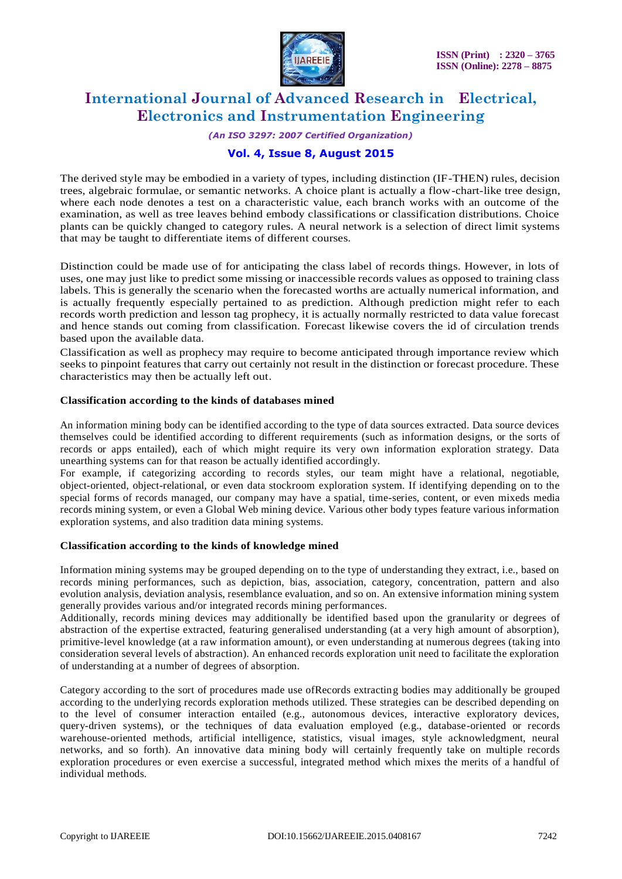

*(An ISO 3297: 2007 Certified Organization)*

### **Vol. 4, Issue 8, August 2015**

The derived style may be embodied in a variety of types, including distinction (IF-THEN) rules, decision trees, algebraic formulae, or semantic networks. A choice plant is actually a flow-chart-like tree design, where each node denotes a test on a characteristic value, each branch works with an outcome of the examination, as well as tree leaves behind embody classifications or classification distributions. Choice plants can be quickly changed to category rules. A neural network is a selection of direct limit systems that may be taught to differentiate items of different courses.

Distinction could be made use of for anticipating the class label of records things. However, in lots of uses, one may just like to predict some missing or inaccessible records values as opposed to training class labels. This is generally the scenario when the forecasted worths are actually numerical information, and is actually frequently especially pertained to as prediction. Although prediction might refer to each records worth prediction and lesson tag prophecy, it is actually normally restricted to data value forecast and hence stands out coming from classification. Forecast likewise covers the id of circulation trends based upon the available data.

Classification as well as prophecy may require to become anticipated through importance review which seeks to pinpoint features that carry out certainly not result in the distinction or forecast procedure. These characteristics may then be actually left out.

#### **Classification according to the kinds of databases mined**

An information mining body can be identified according to the type of data sources extracted. Data source devices themselves could be identified according to different requirements (such as information designs, or the sorts of records or apps entailed), each of which might require its very own information exploration strategy. Data unearthing systems can for that reason be actually identified accordingly.

For example, if categorizing according to records styles, our team might have a relational, negotiable, object-oriented, object-relational, or even data stockroom exploration system. If identifying depending on to the special forms of records managed, our company may have a spatial, time-series, content, or even mixeds media records mining system, or even a Global Web mining device. Various other body types feature various information exploration systems, and also tradition data mining systems.

#### **Classification according to the kinds of knowledge mined**

Information mining systems may be grouped depending on to the type of understanding they extract, i.e., based on records mining performances, such as depiction, bias, association, category, concentration, pattern and also evolution analysis, deviation analysis, resemblance evaluation, and so on. An extensive information mining system generally provides various and/or integrated records mining performances.

Additionally, records mining devices may additionally be identified based upon the granularity or degrees of abstraction of the expertise extracted, featuring generalised understanding (at a very high amount of absorption), primitive-level knowledge (at a raw information amount), or even understanding at numerous degrees (taking into consideration several levels of abstraction). An enhanced records exploration unit need to facilitate the exploration of understanding at a number of degrees of absorption.

Category according to the sort of procedures made use ofRecords extracting bodies may additionally be grouped according to the underlying records exploration methods utilized. These strategies can be described depending on to the level of consumer interaction entailed (e.g., autonomous devices, interactive exploratory devices, query-driven systems), or the techniques of data evaluation employed (e.g., database-oriented or records warehouse-oriented methods, artificial intelligence, statistics, visual images, style acknowledgment, neural networks, and so forth). An innovative data mining body will certainly frequently take on multiple records exploration procedures or even exercise a successful, integrated method which mixes the merits of a handful of individual methods.